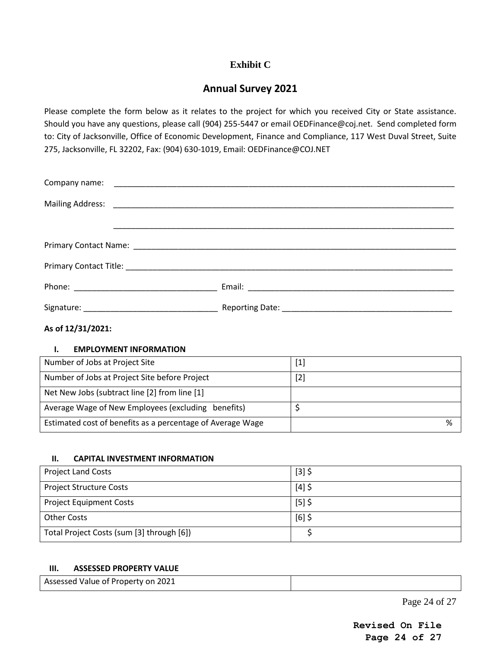# **Exhibit C**

# **Annual Survey 2021**

Please complete the form below as it relates to the project for which you received City or State assistance. Should you have any questions, please call (904) 255-5447 or email OEDFinance@coj.net. Send completed form to: City of Jacksonville, Office of Economic Development, Finance and Compliance, 117 West Duval Street, Suite 275, Jacksonville, FL 32202, Fax: (904) 630-1019, Email: OEDFinance@COJ.NET

### **As of 12/31/2021:**

#### **I. EMPLOYMENT INFORMATION**

| Number of Jobs at Project Site                             | $[1]$ |
|------------------------------------------------------------|-------|
| Number of Jobs at Project Site before Project              | $[2]$ |
| Net New Jobs (subtract line [2] from line [1]              |       |
| Average Wage of New Employees (excluding benefits)         |       |
| Estimated cost of benefits as a percentage of Average Wage | %     |

### **II. CAPITAL INVESTMENT INFORMATION**

| <b>Project Land Costs</b>                 | $[3]$ \$ |
|-------------------------------------------|----------|
| <b>Project Structure Costs</b>            | $[4]$ \$ |
| <b>Project Equipment Costs</b>            | $[5]$ \$ |
| <b>Other Costs</b>                        | $[6]$ \$ |
| Total Project Costs (sum [3] through [6]) |          |

#### **III. ASSESSED PROPERTY VALUE**

| Assessed Value of Property on 2021 |  |
|------------------------------------|--|
|                                    |  |

Page 24 of 27

**Revised On File Page 24 of 27**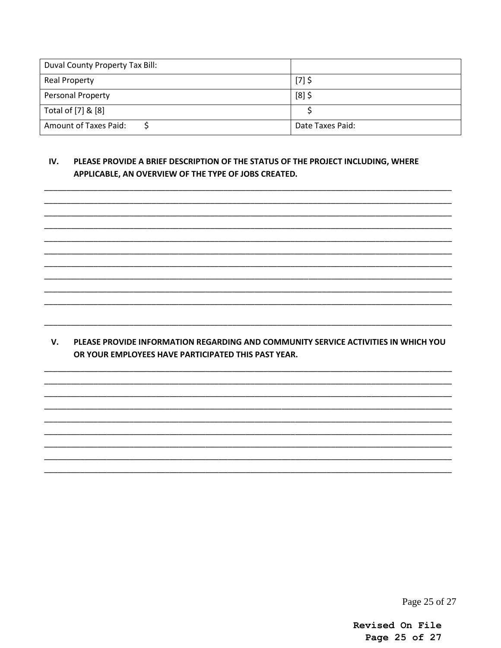| Duval County Property Tax Bill: |                  |
|---------------------------------|------------------|
| <b>Real Property</b>            | $[7]$ \$         |
| <b>Personal Property</b>        | $[8]$ \$         |
| Total of [7] & [8]              |                  |
| <b>Amount of Taxes Paid:</b>    | Date Taxes Paid: |

#### IV. PLEASE PROVIDE A BRIEF DESCRIPTION OF THE STATUS OF THE PROJECT INCLUDING, WHERE APPLICABLE, AN OVERVIEW OF THE TYPE OF JOBS CREATED.

V. PLEASE PROVIDE INFORMATION REGARDING AND COMMUNITY SERVICE ACTIVITIES IN WHICH YOU OR YOUR EMPLOYEES HAVE PARTICIPATED THIS PAST YEAR.

Page 25 of 27

Revised On File Page 25 of 27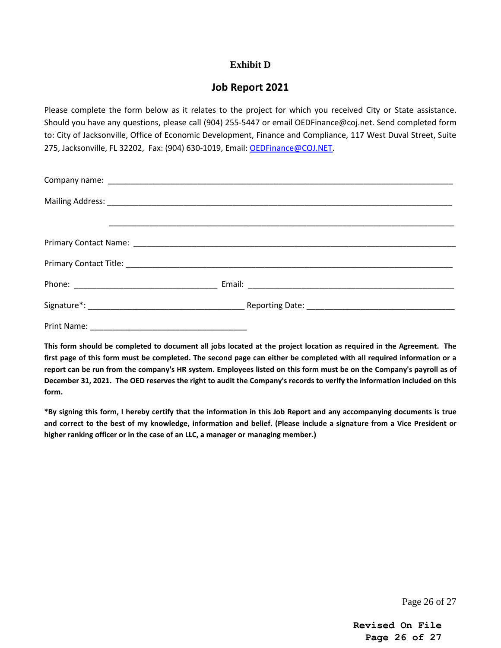## **Exhibit D**

# **Job Report 2021**

Please complete the form below as it relates to the project for which you received City or State assistance. Should you have any questions, please call (904) 255-5447 or email OEDFinance@coj.net. Send completed form to: City of Jacksonville, Office of Economic Development, Finance and Compliance, 117 West Duval Street, Suite 275, Jacksonville, FL 32202, Fax: (904) 630-1019, Email: [OEDFinance@COJ.NET.](mailto:OEDFinance@COJ.NET)

**This form should be completed to document all jobs located at the project location as required in the Agreement. The first page of this form must be completed. The second page can either be completed with all required information or a report can be run from the company's HR system. Employees listed on this form must be on the Company's payroll as of December 31, 2021. The OED reserves the right to audit the Company's records to verify the information included on this form.** 

**\*By signing this form, I hereby certify that the information in this Job Report and any accompanying documents is true and correct to the best of my knowledge, information and belief. (Please include a signature from a Vice President or higher ranking officer or in the case of an LLC, a manager or managing member.)**

Page 26 of 27

**Revised On File Page 26 of 27**